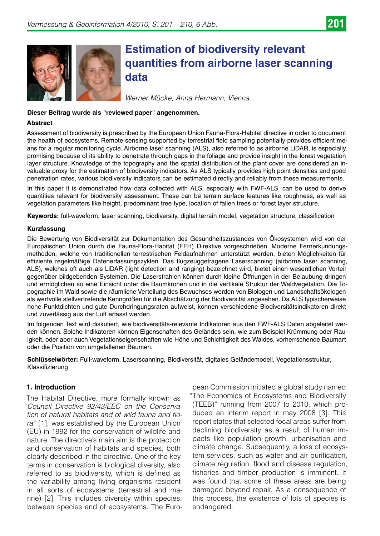



# **Estimation of biodiversity relevant quantities from airborne laser scanning data**

*Werner Mücke, Anna Hermann, Vienna*

# **Dieser Beitrag wurde als "reviewed paper" angenommen.**

# **Abstract**

Assessment of biodiversity is prescribed by the European Union Fauna-Flora-Habitat directive in order to document the health of ecosystems. Remote sensing supported by terrestrial field sampling potentially provides efficient means for a regular monitoring cycle. Airborne laser scanning (ALS), also referred to as airborne LiDAR, is especially promising because of its ability to penetrate through gaps in the foliage and provide insight in the forest vegetation layer structure. Knowledge of the topography and the spatial distribution of the plant cover are considered an invaluable proxy for the estimation of biodiversity indicators. As ALS typically provides high point densities and good penetration rates, various biodiversity indicators can be estimated directly and reliably from these measurements.

In this paper it is demonstrated how data collected with ALS, especially with FWF-ALS, can be used to derive quantities relevant for biodiversity assessment. These can be terrain surface features like roughness, as well as vegetation parameters like height, predominant tree type, location of fallen trees or forest layer structure.

**Keywords:** full-waveform, laser scanning, biodiversity, digital terrain model, vegetation structure, classification

#### **Kurzfassung**

Die Bewertung von Biodiversität zur Dokumentation des Gesundheitszustandes von Ökosystemen wird von der Europäischen Union durch die Fauna-Flora-Habitat (FFH) Direktive vorgeschrieben. Moderne Fernerkundungsmethoden, welche von traditionellen terrestrischen Feldaufnahmen unterstützt werden, bieten Möglichkeiten für effiziente regelmäßige Datenerfassungszyklen. Das flugzeuggetragene Laserscanning (airborne laser scanning, ALS), welches oft auch als LiDAR (light detection and ranging) bezeichnet wird, bietet einen wesentlichen Vorteil gegenüber bildgebenden Systemen. Die Laserstrahlen können durch kleine Öffnungen in der Belaubung dringen und ermöglichen so eine Einsicht unter die Baumkronen und in die vertikale Struktur der Waldvegetation. Die Topographie im Wald sowie die räumliche Verteilung des Bewuchses werden von Biologen und Landschaftsökologen als wertvolle stellvertretende Kenngrößen für die Abschätzung der Biodiversität angesehen. Da ALS typischerweise hohe Punktdichten und gute Durchdringungsraten aufweist, können verschiedene Biodiversitätsindikatoren direkt und zuverlässig aus der Luft erfasst werden.

Im folgenden Text wird diskutiert, wie biodiversitäts-relevante Indikatoren aus den FWF-ALS Daten abgeleitet werden können. Solche Indikatoren können Eigenschaften des Geländes sein, wie zum Beispiel Krümmung oder Rauigkeit, oder aber auch Vegetationseigenschaften wie Höhe und Schichtigkeit des Waldes, vorherrschende Baumart oder die Position von umgefallenen Bäumen.

**Schlüsselwörter:** Full-waveform, Laserscanning, Biodiversität, digitales Geländemodell, Vegetationsstruktur, Klassifizierung

# **1. Introduction**

The Habitat Directive, more formally known as "*Council Directive 92/43/EEC on the Conservation of natural habitats and of wild fauna and flora"* [1], was established by the European Union (EU) in 1992 for the conservation of wildlife and nature. The directive's main aim is the protection and conservation of habitats and species, both clearly described in the directive. One of the key terms in conservation is biological diversity, also referred to as biodiversity, which is defined as the variability among living organisms resident in all sorts of ecosystems (terrestrial and marine) [2]. This includes diversity within species, between species and of ecosystems. The Euro-

pean Commission initiated a global study named "The Economics of Ecosystems and Biodiversity (TEEB)" running from 2007 to 2010, which produced an interim report in may 2008 [3]. This report states that selected focal areas suffer from declining biodiversity as a result of human impacts like population growth, urbanisation and climate change. Subsequently, a loss of ecosystem services, such as water and air purification, climate regulation, flood and disease regulation, fisheries and timber production is imminent. It was found that some of these areas are being damaged beyond repair. As a consequence of this process, the existence of lots of species is endangered.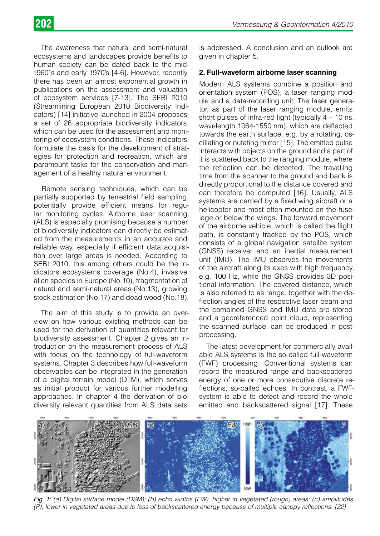The awareness that natural and semi-natural ecosystems and landscapes provide benefits to human society can be dated back to the mid-1960`s and early 1970's [4-6]. However, recently there has been an almost exponential growth in publications on the assessment and valuation of ecosystem services [7-13]. The SEBI 2010 (Streamlining European 2010 Biodiversity Indicators) [14] initiative launched in 2004 proposes a set of 26 appropriate biodiversity indicators, which can be used for the assessment and monitoring of ecosystem conditions. These indicators formulate the basis for the development of strategies for protection and recreation, which are paramount tasks for the conservation and management of a healthy natural environment.

Remote sensing techniques, which can be partially supported by terrestrial field sampling, potentially provide efficient means for regular monitoring cycles. Airborne laser scanning (ALS) is especially promising because a number of biodiversity indicators can directly be estimated from the measurements in an accurate and reliable way, especially if efficient data acquisition over large areas is needed. According to SEBI 2010, this among others could be the indicators ecosystems coverage (No.4), invasive alien species in Europe (No.10), fragmentation of natural and semi-natural areas (No.13), growing stock estimation (No.17) and dead wood (No.18).

The aim of this study is to provide an overview on how various existing methods can be used for the derivation of quantities relevant for biodiversity assessment. Chapter 2 gives an introduction on the measurement process of ALS with focus on the technology of full-waveform systems. Chapter 3 describes how full-waveform observables can be integrated in the generation of a digital terrain model (DTM), which serves as initial product for various further modelling approaches. In chapter 4 the derivation of biodiversity relevant quantities from ALS data sets

is addressed. A conclusion and an outlook are given in chapter 5.

# **2. Full-waveform airborne laser scanning**

Modern ALS systems combine a position and orientation system (POS), a laser ranging module and a data-recording unit. The laser generator, as part of the laser ranging module, emits short pulses of infra-red light (typically  $4 - 10$  ns, wavelength 1064-1550 nm), which are deflected towards the earth surface, e.g. by a rotating, oscillating or nutating mirror [15]. The emitted pulse interacts with objects on the ground and a part of it is scattered back to the ranging module, where the reflection can be detected. The travelling time from the scanner to the ground and back is directly proportional to the distance covered and can therefore be computed [16]. Usually, ALS systems are carried by a fixed wing aircraft or a helicopter and most often mounted on the fuselage or below the wings. The forward movement of the airborne vehicle, which is called the flight path, is constantly tracked by the POS, which consists of a global navigation satellite system (GNSS) receiver and an inertial measurement unit (IMU). The IMU observes the movements of the aircraft along its axes with high frequency, e.g. 100 Hz, while the GNSS provides 3D positional information. The covered distance, which is also referred to as range, together with the deflection angles of the respective laser beam and the combined GNSS and IMU data are stored and a georeferenced point cloud, representing the scanned surface, can be produced in postprocessing.

The latest development for commercially available ALS systems is the so-called full-waveform (FWF) processing. Conventional systems can record the measured range and backscattered energy of one or more consecutive discrete reflections, so-called echoes. In contrast, a FWFsystem is able to detect and record the whole emitted and backscattered signal [17]. These



*Fig. 1: (a) Digital surface model (DSM); (b) echo widths (EW), higher in vegetated (rough) areas; (c) amplitudes (P), lower in vegetated areas due to loss of backscattered energy because of multiple canopy reflections. [22]*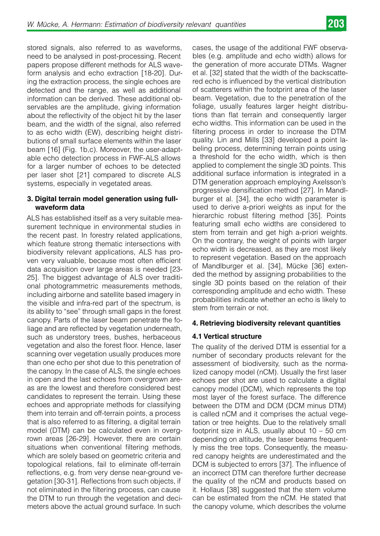stored signals, also referred to as waveforms, need to be analysed in post-processing. Recent papers propose different methods for ALS waveform analysis and echo extraction [18-20]. During the extraction process, the single echoes are detected and the range, as well as additional information can be derived. These additional observables are the amplitude, giving information about the reflectivity of the object hit by the laser beam, and the width of the signal, also referred to as echo width (EW), describing height distributions of small surface elements within the laser beam [16] (Fig. 1b,c). Moreover, the user-adaptable echo detection process in FWF-ALS allows for a larger number of echoes to be detected per laser shot [21] compared to discrete ALS systems, especially in vegetated areas.

# **3. Digital terrain model generation using fullwaveform data**

ALS has established itself as a very suitable measurement technique in environmental studies in the recent past. In forestry related applications, which feature strong thematic intersections with biodiversity relevant applications, ALS has proven very valuable, because most often efficient data acquisition over large areas is needed [23- 25]. The biggest advantage of ALS over traditional photogrammetric measurements methods, including airborne and satellite based imagery in the visible and infra-red part of the spectrum, is its ability to "see" through small gaps in the forest canopy. Parts of the laser beam penetrate the foliage and are reflected by vegetation underneath, such as understory trees, bushes, herbaceous vegetation and also the forest floor. Hence, laser scanning over vegetation usually produces more than one echo per shot due to this penetration of the canopy. In the case of ALS, the single echoes in open and the last echoes from overgrown areas are the lowest and therefore considered best candidates to represent the terrain. Using these echoes and appropriate methods for classifying them into terrain and off-terrain points, a process that is also referred to as filtering, a digital terrain model (DTM) can be calculated even in overgrown areas [26-29]. However, there are certain situations when conventional filtering methods, which are solely based on geometric criteria and topological relations, fail to eliminate off-terrain reflections, e.g. from very dense near-ground vegetation [30-31]. Reflections from such objects, if not eliminated in the filtering process, can cause the DTM to run through the vegetation and decimeters above the actual ground surface. In such

cases, the usage of the additional FWF observables (e.g. amplitude and echo width) allows for the generation of more accurate DTMs. Wagner et al. [32] stated that the width of the backscattered echo is influenced by the vertical distribution of scatterers within the footprint area of the laser beam. Vegetation, due to the penetration of the foliage, usually features larger height distributions than flat terrain and consequently larger echo widths. This information can be used in the filtering process in order to increase the DTM quality. Lin and Mills [33] developed a point labeling process, determining terrain points using a threshold for the echo width, which is then applied to complement the single 3D points. This additional surface information is integrated in a DTM generation approach employing Axelsson's progressive densification method [27]. In Mandlburger et al. [34], the echo width parameter is used to derive a-priori weights as input for the hierarchic robust filtering method [35]. Points featuring small echo widths are considered to stem from terrain and get high a-priori weights. On the contrary, the weight of points with larger echo width is decreased, as they are most likely to represent vegetation. Based on the approach of Mandlburger et al. [34], Mücke [36] extended the method by assigning probabilities to the single 3D points based on the relation of their corresponding amplitude and echo width. These probabilities indicate whether an echo is likely to stem from terrain or not.

# **4. Retrieving biodiversity relevant quantities**

# **4.1 Vertical structure**

The quality of the derived DTM is essential for a number of secondary products relevant for the assessment of biodiversity, such as the normalized canopy model (nCM). Usually the first laser echoes per shot are used to calculate a digital canopy model (DCM), which represents the top most layer of the forest surface. The difference between the DTM and DCM (DCM minus DTM) is called nCM and it comprises the actual vegetation or tree heights. Due to the relatively small footprint size in ALS, usually about 10 – 50 cm depending on altitude, the laser beams frequently miss the tree tops. Consequently, the measured canopy heights are underestimated and the DCM is subjected to errors [37]. The influence of an incorrect DTM can therefore further decrease the quality of the nCM and products based on it. Hollaus [38] suggested that the stem volume can be estimated from the nCM. He stated that the canopy volume, which describes the volume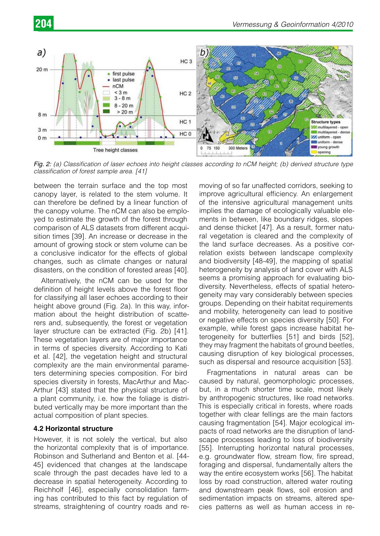

*Fig. 2: (a) Classification of laser echoes into height classes according to nCM height; (b) derived structure type classification of forest sample area. [41]*

between the terrain surface and the top most canopy layer, is related to the stem volume. It can therefore be defined by a linear function of the canopy volume. The nCM can also be employed to estimate the growth of the forest through comparison of ALS datasets from different acquisition times [39]. An increase or decrease in the amount of growing stock or stem volume can be a conclusive indicator for the effects of global changes, such as climate changes or natural disasters, on the condition of forested areas [40].

Alternatively, the nCM can be used for the definition of height levels above the forest floor for classifying all laser echoes according to their height above ground (Fig. 2a). In this way, information about the height distribution of scatterers and, subsequently, the forest or vegetation layer structure can be extracted (Fig. 2b) [41]. These vegetation layers are of major importance in terms of species diversity. According to Kati et al. [42], the vegetation height and structural complexity are the main environmental parameters determining species composition. For bird species diversity in forests, MacArthur and Mac-Arthur [43] stated that the physical structure of a plant community, i.e. how the foliage is distributed vertically may be more important than the actual composition of plant species.

# **4.2 Horizontal structure**

However, it is not solely the vertical, but also the horizontal complexity that is of importance. Robinson and Sutherland and Benton et al. [44- 45] evidenced that changes at the landscape scale through the past decades have led to a decrease in spatial heterogeneity. According to Reichholf [46], especially consolidation farming has contributed to this fact by regulation of streams, straightening of country roads and removing of so far unaffected corridors, seeking to improve agricultural efficiency. An enlargement of the intensive agricultural management units implies the damage of ecologically valuable elements in between, like boundary ridges, slopes and dense thicket [47]. As a result, former natural vegetation is cleared and the complexity of the land surface decreases. As a positive correlation exists between landscape complexity and biodiversity [48-49], the mapping of spatial heterogeneity by analysis of land cover with ALS seems a promising approach for evaluating biodiversity. Nevertheless, effects of spatial heterogeneity may vary considerably between species groups. Depending on their habitat requirements and mobility, heterogeneity can lead to positive or negative effects on species diversity [50]. For example, while forest gaps increase habitat heterogeneity for butterflies [51] and birds [52], they may fragment the habitats of ground beetles, causing disruption of key biological processes, such as dispersal and resource acquisition [53].

Fragmentations in natural areas can be caused by natural, geomorphologic processes, but, in a much shorter time scale, most likely by anthropogenic structures, like road networks. This is especially critical in forests, where roads together with clear fellings are the main factors causing fragmentation [54]. Major ecological impacts of road networks are the disruption of landscape processes leading to loss of biodiversity [55]. Interrupting horizontal natural processes, e.g. groundwater flow, stream flow, fire spread, foraging and dispersal, fundamentally alters the way the entire ecosystem works [56]. The habitat loss by road construction, altered water routing and downstream peak flows, soil erosion and sedimentation impacts on streams, altered species patterns as well as human access in re-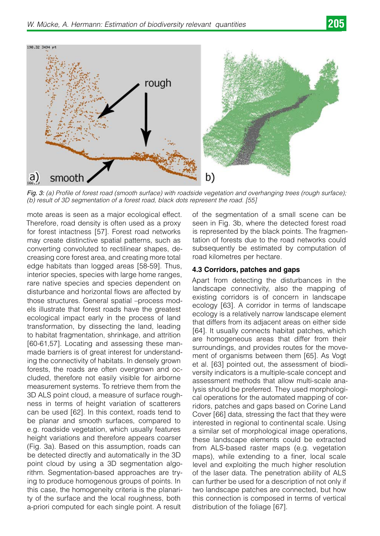

*Fig. 3: (a) Profile of forest road (smooth surface) with roadside vegetation and overhanging trees (rough surface); (b) result of 3D segmentation of a forest road, black dots represent the road. [55]*

mote areas is seen as a major ecological effect. Therefore, road density is often used as a proxy for forest intactness [57]. Forest road networks may create distinctive spatial patterns, such as converting convoluted to rectilinear shapes, decreasing core forest area, and creating more total edge habitats than logged areas [58-59]. Thus, interior species, species with large home ranges, rare native species and species dependent on disturbance and horizontal flows are affected by those structures. General spatial –process models illustrate that forest roads have the greatest ecological impact early in the process of land transformation, by dissecting the land, leading to habitat fragmentation, shrinkage, and attrition [60-61,57]. Locating and assessing these manmade barriers is of great interest for understanding the connectivity of habitats. In densely grown forests, the roads are often overgrown and occluded, therefore not easily visible for airborne measurement systems. To retrieve them from the 3D ALS point cloud, a measure of surface roughness in terms of height variation of scatterers can be used [62]. In this context, roads tend to be planar and smooth surfaces, compared to e.g. roadside vegetation, which usually features height variations and therefore appears coarser (Fig. 3a). Based on this assumption, roads can be detected directly and automatically in the 3D point cloud by using a 3D segmentation algorithm. Segmentation-based approaches are trying to produce homogenous groups of points. In this case, the homogeneity criteria is the planarity of the surface and the local roughness, both a-priori computed for each single point. A result

of the segmentation of a small scene can be seen in Fig. 3b, where the detected forest road is represented by the black points. The fragmentation of forests due to the road networks could subsequently be estimated by computation of road kilometres per hectare.

# **4.3 Corridors, patches and gaps**

Apart from detecting the disturbances in the landscape connectivity, also the mapping of existing corridors is of concern in landscape ecology [63]. A corridor in terms of landscape ecology is a relatively narrow landscape element that differs from its adjacent areas on either side [64]. It usually connects habitat patches, which are homogeneous areas that differ from their surroundings, and provides routes for the movement of organisms between them [65]. As Vogt et al. [63] pointed out, the assessment of biodiversity indicators is a multiple-scale concept and assessment methods that allow multi-scale analysis should be preferred. They used morphological operations for the automated mapping of corridors, patches and gaps based on Corine Land Cover [66] data, stressing the fact that they were interested in regional to continental scale. Using a similar set of morphological image operations, these landscape elements could be extracted from ALS-based raster maps (e.g. vegetation maps), while extending to a finer, local scale level and exploiting the much higher resolution of the laser data. The penetration ability of ALS can further be used for a description of not only if two landscape patches are connected, but how this connection is composed in terms of vertical distribution of the foliage [67].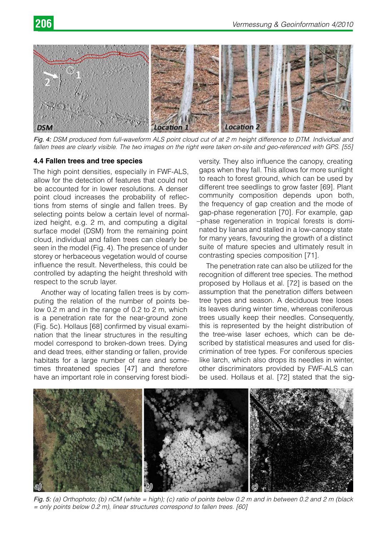

*Fig. 4: DSM produced from full-waveform ALS point cloud cut of at 2 m height difference to DTM. Individual and fallen trees are clearly visible. The two images on the right were taken on-site and geo-referenced with GPS. [55]*

# **4.4 Fallen trees and tree species**

The high point densities, especially in FWF-ALS, allow for the detection of features that could not be accounted for in lower resolutions. A denser point cloud increases the probability of reflections from stems of single and fallen trees. By selecting points below a certain level of normalized height, e.g. 2 m, and computing a digital surface model (DSM) from the remaining point cloud, individual and fallen trees can clearly be seen in the model (Fig. 4). The presence of under storey or herbaceous vegetation would of course influence the result. Nevertheless, this could be controlled by adapting the height threshold with respect to the scrub layer.

Another way of locating fallen trees is by computing the relation of the number of points below 0.2 m and in the range of 0.2 to 2 m, which is a penetration rate for the near-ground zone (Fig. 5c). Hollaus [68] confirmed by visual examination that the linear structures in the resulting model correspond to broken-down trees. Dying and dead trees, either standing or fallen, provide habitats for a large number of rare and sometimes threatened species [47] and therefore have an important role in conserving forest biodi-

versity. They also influence the canopy, creating gaps when they fall. This allows for more sunlight to reach to forest ground, which can be used by different tree seedlings to grow faster [69]. Plant community composition depends upon both, the frequency of gap creation and the mode of gap-phase regeneration [70]. For example, gap –phase regeneration in tropical forests is dominated by lianas and stalled in a low-canopy state for many years, favouring the growth of a distinct suite of mature species and ultimately result in contrasting species composition [71].

The penetration rate can also be utilized for the recognition of different tree species. The method proposed by Hollaus et al. [72] is based on the assumption that the penetration differs between tree types and season. A deciduous tree loses its leaves during winter time, whereas coniferous trees usually keep their needles. Consequently, this is represented by the height distribution of the tree-wise laser echoes, which can be described by statistical measures and used for discrimination of tree types. For coniferous species like larch, which also drops its needles in winter, other discriminators provided by FWF-ALS can be used. Hollaus et al. [72] stated that the sig-



*Fig. 5: (a) Orthophoto; (b) nCM (white = high); (c) ratio of points below 0.2 m and in between 0.2 and 2 m (black = only points below 0.2 m), linear structures correspond to fallen trees. [60]*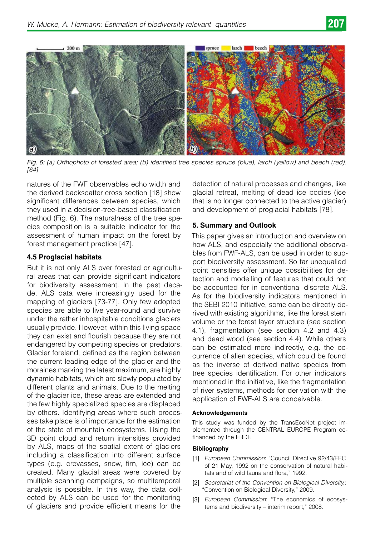



*Fig. 6: (a) Orthophoto of forested area; (b) identified tree species spruce (blue), larch (yellow) and beech (red). [64]*

natures of the FWF observables echo width and the derived backscatter cross section [18] show significant differences between species, which they used in a decision-tree-based classification method (Fig. 6). The naturalness of the tree species composition is a suitable indicator for the assessment of human impact on the forest by forest management practice [47].

# **4.5 Proglacial habitats**

But it is not only ALS over forested or agricultural areas that can provide significant indicators for biodiversity assessment. In the past decade, ALS data were increasingly used for the mapping of glaciers [73-77]. Only few adopted species are able to live year-round and survive under the rather inhospitable conditions glaciers usually provide. However, within this living space they can exist and flourish because they are not endangered by competing species or predators. Glacier foreland, defined as the region between the current leading edge of the glacier and the moraines marking the latest maximum, are highly dynamic habitats, which are slowly populated by different plants and animals. Due to the melting of the glacier ice, these areas are extended and the few highly specialized species are displaced by others. Identifying areas where such processes take place is of importance for the estimation of the state of mountain ecosystems. Using the 3D point cloud and return intensities provided by ALS, maps of the spatial extent of glaciers including a classification into different surface types (e.g. crevasses, snow, firn, ice) can be created. Many glacial areas were covered by multiple scanning campaigns, so multitemporal analysis is possible. In this way, the data collected by ALS can be used for the monitoring of glaciers and provide efficient means for the

detection of natural processes and changes, like glacial retreat, melting of dead ice bodies (ice that is no longer connected to the active glacier) and development of proglacial habitats [78].

# **5. Summary and Outlook**

This paper gives an introduction and overview on how ALS, and especially the additional observables from FWF-ALS, can be used in order to support biodiversity assessment. So far unequalled point densities offer unique possibilities for detection and modelling of features that could not be accounted for in conventional discrete ALS. As for the biodiversity indicators mentioned in the SEBI 2010 initiative, some can be directly derived with existing algorithms, like the forest stem volume or the forest layer structure (see section 4.1), fragmentation (see section 4.2 and 4.3) and dead wood (see section 4.4). While others can be estimated more indirectly, e.g. the occurrence of alien species, which could be found as the inverse of derived native species from tree species identification. For other indicators mentioned in the initiative, like the fragmentation of river systems, methods for derivation with the application of FWF-ALS are conceivable.

#### **Acknowledgements**

This study was funded by the TransEcoNet project implemented through the CENTRAL EUROPE Program cofinanced by the ERDF.

#### **Bibliography**

- [1] *European Commission*: "Council Directive 92/43/EEC of 21 May, 1992 on the conservation of natural habitats and of wild fauna and flora," 1992.
- [2] *Secretariat of the Convention on Biological Diversity,*: "Convention on Biological Diversity," 2009.
- [3] *European Commission*: "The economics of ecosystems and biodiversity – interim report," 2008.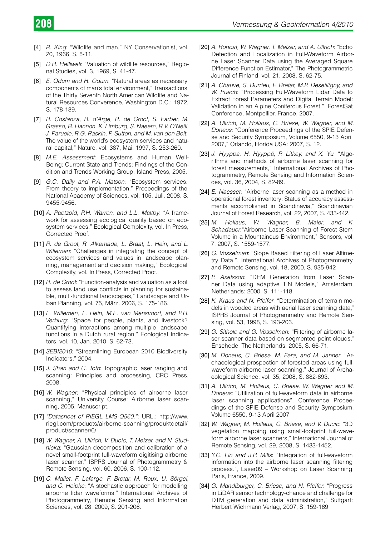- [4] *R. King*: "Wildlife and man," NY Conservationist, vol. 20, 1966, S. 8-11.
- [5] *D.R. Helliwell*: "Valuation of wildlife resources," Regional Studies, vol. 3, 1969, S. 41-47.
- [6] *E. Odum and H. Odum*: "Natural areas as necessary components of man's total environment," Transactions of the Thirty Seventh North American Wildlife and Natural Resources Converence, Washington D.C.: 1972, S. 178-189.
- [7] *R. Costanza, R. d'Arge, R. de Groot, S. Farber, M. Grasso, B. Hannon, K. Limburg, S. Naeem, R.V. O'Neill, J. Paruelo, R.G. Raskin, P. Sutton, and M. van den Belt*: "The value of the world's ecosystem services and natural capital," Nature, vol. 387, Mai. 1997, S. 253-260.
- [8] *M.E. Assessment*: Ecosystems and Human Well-Being: Current State and Trends: Findings of the Condition and Trends Working Group, Island Press, 2005.
- [9] *G.C. Daily and P.A. Matson*: "Ecosystem services: From theory to implementation," Proceedings of the National Academy of Sciences, vol. 105, Juli. 2008, S. 9455-9456.
- [10] *A. Paetzold, P.H. Warren, and L.L. Maltby*: "A framework for assessing ecological quality based on ecosystem services," Ecological Complexity, vol. In Press, Corrected Proof.
- [11] *R. de Groot, R. Alkemade, L. Braat, L. Hein, and L. Willemen*: "Challenges in integrating the concept of ecosystem services and values in landscape planning, management and decision making," Ecological Complexity, vol. In Press, Corrected Proof.
- [12] *R. de Groot*: "Function-analysis and valuation as a tool to assess land use conflicts in planning for sustainable, multi-functional landscapes," Landscape and Urban Planning, vol. 75, März. 2006, S. 175-186.
- [13] L. Willemen, L. Hein, M.E. van Mensvoort, and P.H. *Verburg*: "Space for people, plants, and livestock? Quantifying interactions among multiple landscape functions in a Dutch rural region," Ecological Indicators, vol. 10, Jan. 2010, S. 62-73.
- [14] *SEBI2010*: "Streamlining European 2010 Biodiversity Indicators," 2004.
- [15] *J. Shan and C. Toth*: Topographic laser ranging and scanning: Principles and processing, CRC Press, 2008.
- [16] *W. Wagner*: "Physical principles of airborne laser scanning," University Course: Airborne laser scanning, 2005, Manuscript.
- [17] *"Datasheet of RIEGL LMS-Q560."*: URL.: http://www. riegl.com/products/airborne-scanning/produktdetail/ product/scanner/6/
- [18] W. Wagner, A. Ullrich, V. Ducic, T. Melzer, and N. Stud*nicka*: "Gaussian decomposition and calibration of a novel small-footprint full-waveform digitising airborne laser scanner," ISPRS Journal of Photogrammetry & Remote Sensing, vol. 60, 2006, S. 100-112.
- [19] C. Mallet, F. Lafarge, F. Bretar, M. Roux, U. Sörgel, *and C. Heipke*: "A stochastic approach for modelling airborne lidar waveforms," International Archives of Photogrammetry, Remote Sensing and Information Sciences, vol. 28, 2009, S. 201-206.
- [20] *A. Roncat, W. Wagner, T. Melzer, and A. Ullrich*: "Echo Detection and Localization in Full-Waveform Airborne Laser Scanner Data using the Averaged Square Difference Function Estimator," The Photogrammetric Journal of Finland, vol. 21, 2008, S. 62-75.
- [21] A. Chauve, S. Durrieu, F. Bretar, M.P. Deseilligny, and *W. Puech*: "Processing Full-Waveform Lidar Data to Extract Forest Parameters and Digital Terrain Model: Validation in an Alpine Coniferous Forest.", ForestSat Conference, Montpellier, France, 2007.
- [22] A. Ullrich, M. Hollaus, C. Briese, W. Wagner, and M. *Doneus*: "Conference Proceedings of the SPIE Defense and Security Symposium, Volume 6550, 9-13 April 2007," Orlando, Florida USA: 2007, S. 12.
- [23] *J. Hyyppä, H. Hyyppä, P. Litkey, and X. Yu*: "Algorithms and methods of airborne laser scanning for forest measurements," International Archives of Photogrammetry, Remote Sensing and Information Sciences, vol. 36, 2004, S. 82-89.
- [24] *E. Naesset*: "Airborne laser scanning as a method in operational forest inventory: Status of accuracy assessments accomplished in Scandinavia," Scandinavian Journal of Forest Research, vol. 22, 2007, S. 433-442.
- [25] *M. Hollaus, W. Wagner, B. Maier, and K. Schadauer*:"Airborne Laser Scanning of Forest Stem Volume in a Mountainous Environment," Sensors, vol. 7, 2007, S. 1559-1577.
- [26] *G. Vosselman*: "Slope Based Filtering of Laser Altimetry Data.", International Archives of Photogrammetry and Remote Sensing, vol. 18, 2000, S. 935-942
- [27] P. Axelsson: "DEM Generation from Laser Scanner Data using adaptive TIN Models," Amsterdam, Netherlands: 2000, S. 111-118.
- [28] *K. Kraus and N. Pfeifer*: "Determination of terrain models in wooded areas with aerial laser scanning data," ISPRS Journal of Photogrammetry and Remote Sensing, vol. 53, 1998, S. 193-203.
- [29] *G. Sithole and G. Vosselman*: "Filtering of airborne laser scanner data based on segmented point clouds," Enschede, The Netherlands: 2005, S. 66-71.
- [30] *M. Doneus, C. Briese, M. Fera, and M. Janner*: "Archaeological prospection of forested areas using fullwaveform airborne laser scanning," Journal of Archaeological Science, vol. 35, 2008, S. 882-893.
- [31] A. Ullrich, M. Hollaus, C. Briese, W. Wagner and M. *Doneus*: "Utilization of full-waveform data in airborne laser scanning applications", Conference Proceedings of the SPIE Defense and Security Symposium, Volume 6550, 9-13 April 2007
- [32] *W. Wagner, M. Hollaus, C. Briese, and V. Ducic*: "3D vegetation mapping using small-footprint full-waveform airborne laser scanners," International Journal of Remote Sensing, vol. 29, 2008, S. 1433-1452.
- [33] *Y.C. Lin and J.P. Mills*: "Integration of full-waveform information into the airborne laser scanning filtering process.", Laser09 – Workshop on Laser Scanning, Paris, France, 2009.
- [34] *G. Mandlburger, C. Briese, and N. Pfeifer*: "Progress in LiDAR sensor technology-chance and challenge for DTM generation and data administration," Suttgart: Herbert Wichmann Verlag, 2007, S. 159-169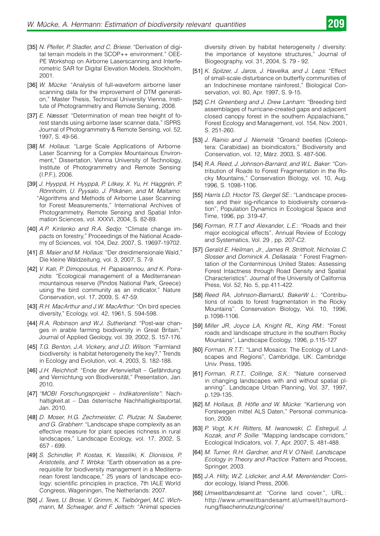- [35] *N. Pfeifer, P. Stadler, and C. Briese*: "Derivation of digital terrain models in the SCOP++ environment." OEE-PE Workshop on Airborne Laserscanning and Interferometric SAR for Digital Elevation Models, Stockholm, 2001.
- [36] *W. Mücke*: "Analysis of full-waveform airborne laser scanning data for the improvement of DTM generation," Master Thesis, Technical University Vienna, Institute of Photogrammetry and Remote Sensing, 2008.
- [37] *E. Næsset*: "Determination of mean tree height of forest stands using airborne laser scanner data," ISPRS Journal of Photogrammetry & Remote Sensing, vol. 52, 1997, S. 49-56.
- [38] *M. Hollaus*: "Large Scale Applications of Airborne Laser Scanning for a Complex Mountainous Environment," Dissertation, Vienna University of Technology, Institute of Photogrammetry and Remote Sensing (I.P.F.), 2006.
- [39] *J. Hyyppä, H. Hyyppä, P. Litkey, X. Yu, H. Haggrén, P. Rönnholm, U. Pyysalo, J. Pitkänen, and M. Maltamo*: "Algorithms and Methods of Airborne Laser Scanning for Forest Measurements," International Archives of Photogrammetry, Remote Sensing and Spatial Information Sciences, vol. XXXVI, 2004, S. 82-89.
- [40] *A.P. Kirilenko and R.A. Sedjo*: "Climate change impacts on forestry," Proceedings of the National Academy of Sciences, vol. 104, Dez. 2007, S. 19697-19702.
- [41] *B. Maier and M. Hollaus*: "Der dreidimensionale Wald," Die kleine Waldzeitung, vol. 3, 2007, S. 7-9.
- [42] *V. Kati, P. Dimopoulus, H. Papaioannou, and K. Poirazidis*: "Ecological management of a Mediterranean mountainous reserve (Pindos National Park, Greece) using the bird community as an indicator," Nature Conservation, vol. 17, 2009, S. 47-59.
- [43] *R.H. MacArthur and J.W. MacArthur*: "On bird species diversity," Ecology, vol. 42, 1961, S. 594-598.
- [44] *R.A. Robinson and W.J. Sutherland*: "Post-war changes in arable farming biodiversity in Great Britain," Journal of Applied Geology, vol. 39, 2002, S. 157-176.
- [45] *T.G. Benton, J.A. Vickery, and J.D. Wilson*: "Farmland biodiversity: is habitat heterogeneity the key?," Trends in Ecology and Evolution, vol. 4, 2003, S. 182-188.
- [46] *J.H. Reichholf*: "Ende der Artenvielfalt Gefährdung and Vernichtung von Biodiversität," Presentation, Jan. 2010.
- [47] *"MOBI Forschungsprojekt Indikatorenliste"*: Nachhaltigkeit.at – Das österrische Nachhaltigkeitsportal, Jan. 2010.
- [48] *D. Moser, H.G. Zechmeister, C. Plutzar, N. Sauberer, and G. Grabherr*: "Landscape shape complexity as an effective measure for plant species richness in rural landscapes," Landscape Ecology, vol. 17, 2002, S. 657 - 699.
- [49] *S. Schindler, P. Kostas, K. Vassiliki, K. Dionisios, P. Aristotelis, and T. Wrbka*: "Earth observation as a prerequisitie for biodiversity management in a Mediterranean forest landscape," 25 years of landscape ecology: scientific principles in practice, 7th IALE World Congress, Wageningen, The Netherlands: 2007.
- [50] *J. Tews, U. Brose, V. Grimm, K. Tielbörgerl, M.C. Wichmann, M. Schwager, and F. Jeltsch*: "Animal species

diversity driven by habitat heterogeneity / diversity: the importance of keystone structures," Journal of Biogeography, vol. 31, 2004, S. 79 - 92.

- [51] *K. Spitzer, J. Jaros, J. Havelka, and J. Leps*: "Effect of small-scale disturbance on butterfly communities of an Indochinese montane rainforest," Biological Conservation, vol. 80, Apr. 1997, S. 9-15.
- [52] *C.H. Greenberg and J. Drew Lanham*: "Breeding bird assemblages of hurricane-created gaps and adjacent closed canopy forest in the southern Appalachians," Forest Ecology and Management, vol. 154, Nov. 2001, S. 251-260.
- [53] *J. Rainio and J. Niemelä*: "Groand beetles (Coleoptera: Carabidae) as bioindicators," Biodiversity and Conservation, vol. 12, März. 2003, S. 487-506.
- [54] *R.A. Reed, J. Johnson-Barnard, and W.L. Baker*: "Contribution of Roads to Forest Fragmentation in the Rocky Mountains," Conservation Biology, vol. 10, Aug. 1996, S. 1098-1106.
- [55] *Harris LD, Hoctor TS, Gergel SE.*: "Landscape processes and their sig-nificance to biodiversity conservation", Population Dynamics in Ecological Space and Time, 1996, pp. 319-47.
- [56] *Forman, R.T.T and Alexander, L.E.*: "Roads and their major ecological effects", Annual Review of Ecology and Systematics, Vol. 29 , pp. 207-C2.
- [57] *Gerald E. Heilman, Jr., James R. Strittholt, Nicholas C. Slosser and Dominick A. Dellasala*: " Forest Fragmentation of the Conterminous United States: Assessing Forest Intactness through Road Density and Spatial Characteristics". Journal of the University of California Press, Vol. 52, No. 5, pp.411-422.
- [58] *Reed RA, Johnson-BarnardJ, BakerW L.*: "Contributions of roads to forest fragmentation in the Rocky Mountains". Conservation Biology, Vol. 10, 1996, p.1098-1106.
- [59] *Miller JR, Joyce LA, Knight RL, King RM.*: "Forest roads and landscape structure in the southern Rocky Mountains", Landscape Ecology, 1996, p.115-127
- [60] *Forman, R.T.T.*: "Land Mosaics: The Ecology of Landscapes and Regions", Cambridge, UK: Cambridge Univ. Press, 1995.
- [61] *Forman, R.T.T., Collinge, S.K.*: "Nature conserved in changing landscapes with and without spatial planning". Landscape Urban Planning, Vol. 37, 1997, p.129-135.
- [62] *M. Hollaus, B. Höfle and W. Mücke*: "Kartierung von Forstwegen mittel ALS Daten," Personal communication, 2009.
- [63] *P. Vogt, K.H. Riitters, M. Iwanowski, C. Estreguil, J. Kozak, and P. Soille*: "Mapping landscape corridors," Ecological Indicators, vol. 7, Apr. 2007, S. 481-488.
- [64] *M. Turner, R.H. Gardner, and R.V. O'Neill, Landscape Ecology in Theory and Practice*: Pattern and Process, Springer, 2003.
- [65] *J.A. Hilty, W.Z. Lidicker, and A.M. Merenlender*: Corridor ecology, Island Press, 2006.
- [66] *Umweltbandesamt.at*: "Corine land cover.", URL.: http://www.umweltbandesamt.at/umwelt/raumordnung/flaechennutzung/corine/